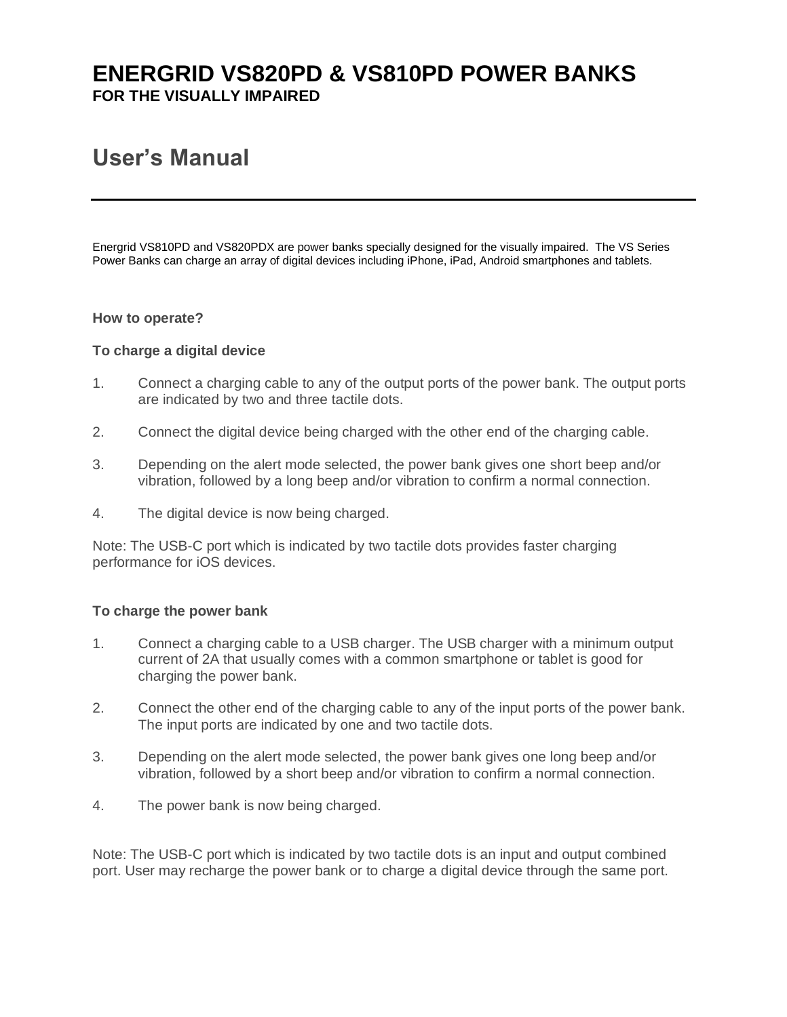# **ENERGRID VS820PD & VS810PD POWER BANKS FOR THE VISUALLY IMPAIRED**

# **User's Manual**

Energrid VS810PD and VS820PDX are power banks specially designed for the visually impaired. The VS Series Power Banks can charge an array of digital devices including iPhone, iPad, Android smartphones and tablets.

#### **How to operate?**

#### **To charge a digital device**

- 1. Connect a charging cable to any of the output ports of the power bank. The output ports are indicated by two and three tactile dots.
- 2. Connect the digital device being charged with the other end of the charging cable.
- 3. Depending on the alert mode selected, the power bank gives one short beep and/or vibration, followed by a long beep and/or vibration to confirm a normal connection.
- 4. The digital device is now being charged.

Note: The USB-C port which is indicated by two tactile dots provides faster charging performance for iOS devices.

#### **To charge the power bank**

- 1. Connect a charging cable to a USB charger. The USB charger with a minimum output current of 2A that usually comes with a common smartphone or tablet is good for charging the power bank.
- 2. Connect the other end of the charging cable to any of the input ports of the power bank. The input ports are indicated by one and two tactile dots.
- 3. Depending on the alert mode selected, the power bank gives one long beep and/or vibration, followed by a short beep and/or vibration to confirm a normal connection.
- 4. The power bank is now being charged.

Note: The USB-C port which is indicated by two tactile dots is an input and output combined port. User may recharge the power bank or to charge a digital device through the same port.